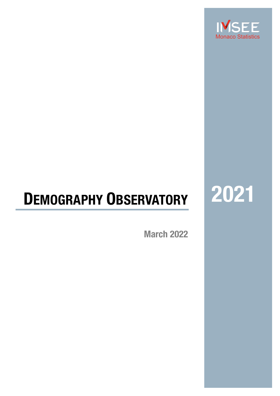

# DEMOGRAPHY OBSERVATORY

2021

March 2022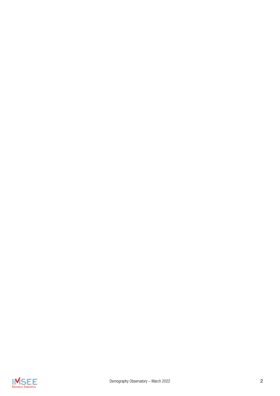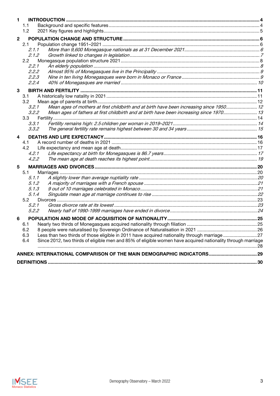| 1              |                                                                                                                    |  |
|----------------|--------------------------------------------------------------------------------------------------------------------|--|
|                | 1.1                                                                                                                |  |
|                | 1.2                                                                                                                |  |
| $\mathbf{2}$   |                                                                                                                    |  |
|                | 2.1                                                                                                                |  |
|                | 2.1.1                                                                                                              |  |
|                | 2.1.2                                                                                                              |  |
|                | 2.2                                                                                                                |  |
|                | 2.2.1                                                                                                              |  |
|                | 2.2.2                                                                                                              |  |
|                | 2.2.3                                                                                                              |  |
|                | 2.2.4                                                                                                              |  |
|                |                                                                                                                    |  |
| 3              |                                                                                                                    |  |
|                | 3.1                                                                                                                |  |
|                | 3.2                                                                                                                |  |
|                | Mean ages of mothers at first childbirth and at birth have been increasing since 1950 12<br>3.2.1                  |  |
|                | Mean ages of fathers at first childbirth and at birth have been increasing since 1970 13<br>3.2.2<br>3.3           |  |
|                | 3.3.1                                                                                                              |  |
|                | 3.3.2                                                                                                              |  |
|                |                                                                                                                    |  |
| 4              |                                                                                                                    |  |
|                | 4.1                                                                                                                |  |
|                | 4.2                                                                                                                |  |
|                | 4.2.1                                                                                                              |  |
|                | 4.2.2                                                                                                              |  |
| $5\phantom{1}$ |                                                                                                                    |  |
|                | 5.1                                                                                                                |  |
|                | 5.1.1                                                                                                              |  |
|                | 5.1.2                                                                                                              |  |
|                | 5.1.3                                                                                                              |  |
|                | 5.1.4                                                                                                              |  |
|                | 5.2                                                                                                                |  |
|                | 5.2.1                                                                                                              |  |
|                | 5.2.2                                                                                                              |  |
| 6              |                                                                                                                    |  |
|                | 6.1                                                                                                                |  |
|                | 6.2                                                                                                                |  |
|                | Less than two thirds of those eligible in 2011 have acquired nationality through marriage27<br>6.3                 |  |
|                | Since 2012, two thirds of eligible men and 85% of eligible women have acquired nationality through marriage<br>6.4 |  |
|                |                                                                                                                    |  |
|                |                                                                                                                    |  |
|                | ANNEX: INTERNATIONAL COMPARISON OF THE MAIN DEMOGRAPHIC INDICATORS 29                                              |  |
|                |                                                                                                                    |  |

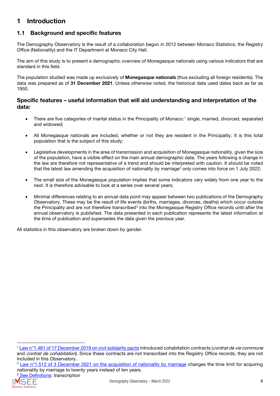# <span id="page-3-0"></span>1 Introduction

## <span id="page-3-1"></span>1.1 Background and specific features

The Demography Observatory is the result of a collaboration begun in 2012 between Monaco Statistics, the Registry Office (Nationality) and the IT Department at Monaco City Hall.

The aim of this study is to present a demographic overview of Monegasque nationals using various indicators that are standard in this field.

The population studied was made up exclusively of **Monegasque nationals** (thus excluding all foreign residents). The data was prepared as of 31 December 2021. Unless otherwise noted, the historical data used dates back as far as 1950.

## Specific features – useful information that will aid understanding and interpretation of the data:

- There are five categories of marital status in the Principality of Monaco:<sup>[1](#page-3-2)</sup> single, married, divorced, separated and widowed;
- All Monegasque nationals are included, whether or not they are resident in the Principality. It is this total population that is the subject of this study;
- Legislative developments in the area of transmission and acquisition of Monegasque nationality, given the size of the population, have a visible effect on the main annual demographic data. The years following a change in the law are therefore not representative of a trend and should be interpreted with caution. It should be noted that the latest law amending the acquisition of nationality by marriage<sup>[2](#page-3-3)</sup> only comes into force on 1 July 2022;
- The small size of the Monegasque population implies that some indicators vary widely from one year to the next. It is therefore advisable to look at a series over several years;
- Minimal differences relating to an annual data point may appear between two publications of the Demography Observatory. These may be the result of life events (births, marriages, divorces, deaths) which occur outside the Principality and are not therefore transcribed<sup>[3](#page-3-4)</sup> into the Monegasque Registry Office records until after the annual observatory is published. The data presented in each publication represents the latest information at the time of publication and supersedes the data given the previous year.

All statistics in this observatory are broken down by gender.

<span id="page-3-4"></span><span id="page-3-3"></span><sup>&</sup>lt;sup>2</sup> [Law n°1.512 of 3 December 2021 on the acquisition of nationality by marriage](https://www.legimonaco.mc/305/legismclois.nsf/ViewTNC/777FBBBF3A29FBFEC12587BC003213ED!OpenDocument) changes the time limit for acquiring nationality by marriage to twenty years instead of ten years. <sup>3</sup> [See Definitions:](#page-29-0) transcription



<span id="page-3-2"></span><sup>&</sup>lt;sup>1</sup> [Law n°1.481 of 17 December 2019 on civil solidarity pacts](https://journaldemonaco.gouv.mc/Journaux/2019/Journal-8466/Loi-n-1.481-du-17-decembre-2019-relative-aux-contrats-civils-de-solidarite) introduced cohabitation contracts (*contrat de vie commune* and *contrat de cohabitation*). Since these contracts are not transcribed into the Registry Office records, they are not included in this Observatory.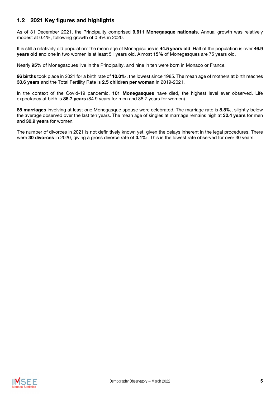## <span id="page-4-0"></span>1.2 2021 Key figures and highlights

As of 31 December 2021, the Principality comprised 9,611 Monegasque nationals. Annual growth was relatively modest at 0.4%, following growth of 0.9% in 2020.

It is still a relatively old population: the mean age of Monegasques is 44.5 years old. Half of the population is over 46.9 years old and one in two women is at least 51 years old. Almost 15% of Monegasques are 75 years old.

Nearly 95% of Monegasques live in the Principality, and nine in ten were born in Monaco or France.

96 births took place in 2021 for a birth rate of 10.0‰, the lowest since 1985. The mean age of mothers at birth reaches 33.6 years and the Total Fertility Rate is 2.5 children per woman in 2019-2021.

In the context of the Covid-19 pandemic, 101 Monegasques have died, the highest level ever observed. Life expectancy at birth is 86.7 years (84.9 years for men and 88.7 years for women).

85 marriages involving at least one Monegasque spouse were celebrated. The marriage rate is 8.8‰, slightly below the average observed over the last ten years. The mean age of singles at marriage remains high at 32.4 years for men and 30.9 years for women.

The number of divorces in 2021 is not definitively known yet, given the delays inherent in the legal procedures. There were 30 divorces in 2020, giving a gross divorce rate of 3.1‰. This is the lowest rate observed for over 30 years.

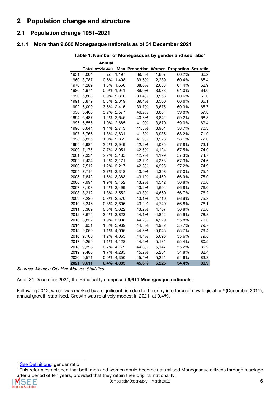# <span id="page-5-0"></span>Population change and structure

## <span id="page-5-1"></span>2.1 Population change 1951–2021

## <span id="page-5-2"></span>2.1.1 More than 9,600 Monegasque nationals as of 31 December 2021

#### Table 1: Number of Monegasques by gender and sex ratio

|      |       | <b>Annual</b>          |            |                                           |       |       |      |
|------|-------|------------------------|------------|-------------------------------------------|-------|-------|------|
|      |       | <b>Total evolution</b> |            | Men Proportion Women Proportion Sex ratio |       |       |      |
| 1951 | 3,004 | n.d.                   | 1,197      | 39.8%                                     | 1,807 | 60.2% | 66.2 |
| 1960 | 3,787 | 0.6%                   | 1,498      | 39.6%                                     | 2,289 | 60.4% | 65.4 |
| 1970 | 4,289 | 1.8%                   | 1,656      | 38.6%                                     | 2,633 | 61.4% | 62.9 |
| 1980 | 4,974 | 0.9%                   | 1,941      | 39.0%                                     | 3,033 | 61.0% | 64.0 |
| 1990 | 5,863 | 0.9%                   | 2,310      | 39.4%                                     | 3,553 | 60.6% | 65.0 |
| 1991 | 5,879 |                        | 0.3% 2,319 | 39.4%                                     | 3,560 | 60.6% | 65.1 |
| 1992 | 6,090 |                        | 3.6% 2,415 | 39.7%                                     | 3,675 | 60.3% | 65.7 |
| 1993 | 6,408 |                        | 5.2% 2,577 | 40.2%                                     | 3,831 | 59.8% | 67.3 |
| 1994 | 6,487 |                        | 1.2% 2,645 | 40.8%                                     | 3,842 | 59.2% | 68.8 |
| 1995 | 6,555 |                        | 1.0% 2,685 | 41.0%                                     | 3,870 | 59.0% | 69.4 |
| 1996 | 6,644 |                        | 1.4% 2,743 | 41.3%                                     | 3,901 | 58.7% | 70.3 |
| 1997 | 6,766 |                        | 1.8% 2,831 | 41.8%                                     | 3,935 | 58.2% | 71.9 |
| 1998 | 6,835 |                        | 1.0% 2,862 | 41.9%                                     | 3,973 | 58.1% | 72.0 |
| 1999 | 6,984 |                        | 2.2% 2,949 | 42.2%                                     | 4,035 | 57.8% | 73.1 |
| 2000 | 7,175 |                        | 2.7% 3,051 | 42.5%                                     | 4,124 | 57.5% | 74.0 |
| 2001 | 7,334 |                        | 2.2% 3,135 | 42.7%                                     | 4,199 | 57.3% | 74.7 |
| 2002 | 7,424 |                        | 1.2% 3,171 | 42.7%                                     | 4,253 | 57.3% | 74.6 |
| 2003 | 7,512 |                        | 1.2% 3,217 | 42.8%                                     | 4,295 | 57.2% | 74.9 |
| 2004 | 7,716 |                        | 2.7% 3,318 | 43.0%                                     | 4,398 | 57.0% | 75.4 |
| 2005 | 7,842 |                        | 1.6% 3,383 | 43.1%                                     | 4,459 | 56.9% | 75.9 |
| 2006 | 7,994 |                        | 1.9% 3,452 | 43.2%                                     | 4,542 | 56.8% | 76.0 |
| 2007 | 8,103 |                        | 1.4% 3,499 | 43.2%                                     | 4,604 | 56.8% | 76.0 |
| 2008 | 8,212 |                        | 1.3% 3,552 | 43.3%                                     | 4,660 | 56.7% | 76.2 |
| 2009 | 8,280 | $0.8\%$                | 3,570      | 43.1%                                     | 4,710 | 56.9% | 75.8 |
| 2010 | 8,346 | $0.8\%$                | 3,606      | 43.2%                                     | 4,740 | 56.8% | 76.1 |
| 2011 | 8,389 | $0.5\%$                | 3,622      | 43.2%                                     | 4,767 | 56.8% | 76.0 |
| 2012 | 8,675 | 3.4%                   | 3,823      | 44.1%                                     | 4,852 | 55.9% | 78.8 |
| 2013 | 8,837 | 1.9%                   | 3,908      | 44.2%                                     | 4,929 | 55.8% | 79.3 |
| 2014 | 8,951 | 1.3%                   | 3,969      | 44.3%                                     | 4,982 | 55.7% | 79.7 |
| 2015 | 9,050 | 1.1%                   | 4,005      | 44.3%                                     | 5,045 | 55.7% | 79.4 |
| 2016 | 9,160 | 1.2%                   | 4,065      | 44.4%                                     | 5,095 | 55.6% | 79.8 |
| 2017 | 9,259 |                        | 1.1% 4,128 | 44.6%                                     | 5,131 | 55.4% | 80.5 |
| 2018 | 9,326 |                        | 0.7% 4,179 | 44.8%                                     | 5,147 | 55.2% | 81.2 |
| 2019 | 9,486 |                        | 1.7% 4,285 | 45.2%                                     | 5,201 | 54.8% | 82.4 |
| 2020 | 9,571 |                        | 0.9% 4,350 | 45.4%                                     | 5,221 | 54.6% | 83.3 |
| 2021 | 9,611 |                        | 0.4% 4,385 | 45.6%                                     | 5,226 | 54.4% | 83.9 |

Sources: Monaco City Hall, Monaco Statistics

As of 31 December 2021, the Principality comprised 9,611 Monegasque nationals.

Following 2012, which was marked by a significant rise due to the entry into force of new legislation<sup>[5](#page-5-4)</sup> (December 2011), annual growth stabilised. Growth was relatively modest in 2021, at 0.4%.

<span id="page-5-4"></span><span id="page-5-3"></span><sup>&</sup>lt;sup>5</sup> This reform established that both men and women could become naturalised Monegasque citizens through marriage after a period of ten years, provided that they retain their original nationality.



[See Definitions:](#page-29-0) gender ratio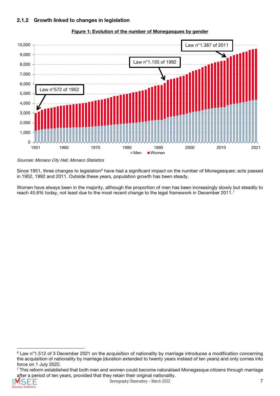<span id="page-6-0"></span>

## Figure 1: Evolution of the number of Monegasques by gender

Sources: Monaco City Hall, Monaco Statistics

Since 1951, three changes to legislation<sup>[6](#page-6-1)</sup> have had a significant impact on the number of Monegasques: acts passed in 1952, 1992 and 2011. Outside these years, population growth has been steady.

Women have always been in the majority, although the proportion of men has been increasingly slowly but steadily to reach 45.6% today, not least due to the most recent change to the legal framework in December 2011.<sup>[7](#page-6-2)</sup>

<span id="page-6-2"></span><sup>&</sup>lt;sup>7</sup> This reform established that both men and women could become naturalised Monegasque citizens through marriage after a period of ten years, provided that they retain their original nationality.



<span id="page-6-1"></span><sup>&</sup>lt;sup>6</sup> Law n°1.512 of 3 December 2021 on the acquisition of nationality by marriage introduces a modification concerning the acquisition of nationality by marriage (duration extended to twenty years instead of ten years) and only comes into force on 1 July 2022.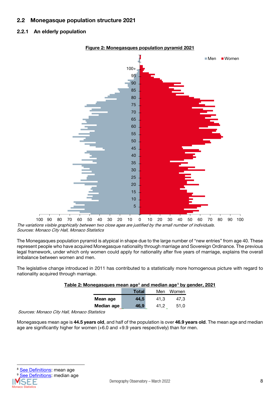## <span id="page-7-0"></span>2.2 Monegasque population structure 2021

## <span id="page-7-1"></span>2.2.1 An elderly population



#### Figure 2: Monegasques population pyramid 2021

The variations visible graphically between two close ages are justified by the small number of individuals. Sources: Monaco City Hall, Monaco Statistics

The Monegasques population pyramid is atypical in shape due to the large number of "new entries" from age 40. These represent people who have acquired Monegasque nationality through marriage and Sovereign Ordinance. The previous legal framework, under which only women could apply for nationality after five years of marriage, explains the overall imbalance between women and men.

The legislative change introduced in 2011 has contributed to a statistically more homogenous picture with regard to nationality acquired through marriage.

| Table 2: Monegasques mean age <sup>8</sup> and median age <sup>9</sup> by gender, 2021 |
|----------------------------------------------------------------------------------------|
|----------------------------------------------------------------------------------------|

|                   | <b>Total</b> | Men  | Women |
|-------------------|--------------|------|-------|
| Mean age          | 44,5         | 41.3 | 47.3  |
| <b>Median age</b> | 46,9         | 41,2 | 51.0  |

Sources: Monaco City Hall, Monaco Statistics

Monegasques mean age is 44.5 years old, and half of the population is over 46.9 years old. The mean age and median age are significantly higher for women (+6.0 and +9.9 years respectively) than for men.

<span id="page-7-3"></span><span id="page-7-2"></span>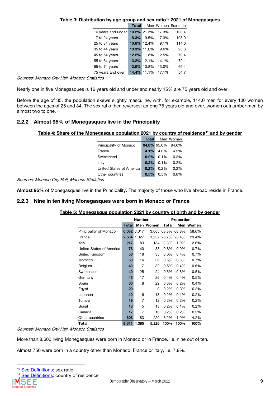#### Table 3: Distribution by age group and sex ratio<sup>[10](#page-8-2)</sup> 2021 of Monegasques

|                    | <b>Total</b> |             |                   | Men Women Sex ratio |
|--------------------|--------------|-------------|-------------------|---------------------|
| 16 years and under | 19.2% 21.3%  |             | 17.3%             | 103.4               |
| 17 to 24 years     | 8.3%         | 9.5%        | 7.3%              | 108.9               |
| 25 to 34 years     |              | 10.6% 12.4% | 9.1%              | 114.0               |
| 35 to 44 years     |              | 10.3% 11.0% | 9.6%              | 95.6                |
| 45 to 54 years     |              | 12.2% 11.8% | 12.5%             | 79.4                |
| 55 to 64 years     |              | 13.2% 12.1% | 14.1%             | 72.1                |
| 65 to 74 years     |              | 12.0% 10.8% | 13.0%             | 69.4                |
| 75 years and over  |              |             | 14.4% 11.1% 17.1% | 54.7                |

Sources: Monaco City Hall, Monaco Statistics

Nearly one in five Monegasques is 16 years old and under and nearly 15% are 75 years old and over.

Before the age of 35, the population skews slightly masculine, with, for example, 114.0 men for every 100 women between the ages of 25 and 34. The sex ratio then reverses: among 75 years old and over, women outnumber men by almost two to one.

## <span id="page-8-0"></span>2.2.2 Almost 95% of Monegasques live in the Principality

## Table 4: Share of the Monegasque population 2021 by country of residence<sup>[11](#page-8-3)</sup> and by gender

|                          | Total   |              | Men Women         |
|--------------------------|---------|--------------|-------------------|
| Principality of Monaco   |         |              | 94.8% 95.0% 94.6% |
| France                   |         |              | 4.1% 4.0% 4.2%    |
| Switzerland              |         | $0.2\%$ 0.1% | $0.2\%$           |
| Italy                    |         | $0.2\%$ 0.1% | $0.2\%$           |
| United States of America | $0.2\%$ | $0.2\%$      | $0.2\%$           |
| Other countries          | $0.5\%$ | 0.5%         | 0.6%              |

Sources: Monaco City Hall, Monaco Statistics

Almost 95% of Monegasques live in the Principality. The majority of those who live abroad reside in France.

## <span id="page-8-1"></span>2.2.3 Nine in ten living Monegasques were born in Monaco or France

|                          | <b>Number</b> |             | Proportion |                   |      |           |
|--------------------------|---------------|-------------|------------|-------------------|------|-----------|
|                          | <b>Total</b>  |             | Men Women  | Total             |      | Men Women |
| Principality of Monaco   |               | 6,082 3,017 |            | 3,065 63.3% 68.8% |      | 58.6%     |
| France                   | 2,564         | 1,027       |            | 1,537 26.7% 23.4% |      | 29.4%     |
| Italy                    | 217           | 83          | 134        | 2.3%              | 1.9% | 2.6%      |
| United States of America | 78            | 40          | 38         | 0.8%              | 0.9% | 0.7%      |
| United Kingdom           | 53            | 18          | 35         | 0.6%              | 0.4% | 0.7%      |
| Morocco                  | 50            | 14          | 36         | 0.5%              | 0.3% | 0.7%      |
| Belgium                  | 49            | 17          | 32         | 0.5%              | 0.4% | 0.6%      |
| Switzerland              | 49            | 25          | 24         | 0.5%              | 0.6% | 0.5%      |
| Germany                  | 43            | 17          | 26         | 0.4%              | 0.4% | 0.5%      |
| Spain                    | 30            | 8           | 22         | 0.3%              | 0.2% | 0.4%      |
| Egypt                    | 20            | 11          | 9          | 0.2%              | 0.3% | 0.2%      |
| Lebanon                  | 19            | 6           | 13         | 0.2%              | 0.1% | 0.2%      |
| Tunisia                  | 19            | 7           | 12         | 0.2%              | 0.2% | 0.2%      |
| <b>Brasil</b>            | 18            | 5           | 13         | 0.2%              | 0.1% | 0.2%      |
| Canada                   | 17            | 7           | 10         | 0.2%              | 0.2% | 0.2%      |
| Other countries          | 303           | 83          | 220        | 3.2%              | 1.9% | 4.2%      |
| Total                    | 9,611         | 4,385       | 5,226      | 100%              | 100% | 100%      |

#### Table 5: Monegasque population 2021 by country of birth and by gender

Sources: Monaco City Hall, Monaco Statistics

More than 8,600 living Monegasques were born in Monaco or in France, i.e. nine out of ten.

Almost 750 were born in a country other than Monaco, France or Italy, i.e. 7.8%.

<span id="page-8-3"></span><span id="page-8-2"></span><sup>&</sup>lt;sup>11</sup> [See Definitions:](#page-29-0) country of residence

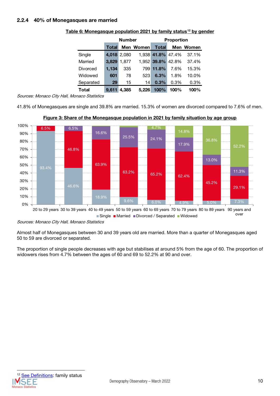|           |             | <b>Number</b> |           |                   | Proportion   |           |  |
|-----------|-------------|---------------|-----------|-------------------|--------------|-----------|--|
|           | Total       |               | Men Women |                   | <b>Total</b> | Men Women |  |
| Single    | 4,018 2,080 |               |           | 1.938 41.8% 47.4% |              | 37.1%     |  |
| Married   | 3,829       | 1,877         |           | 1,952 39.8% 42.8% |              | 37.4%     |  |
| Divorced  | 1.134       | 335           | 7991      | 11.8%             | 7.6%         | 15.3%     |  |
| Widowed   | 601         | 78            | 523       | 6.3%              | 1.8%         | 10.0%     |  |
| Separated | 29          | 15            | 14        | 0.3%              | 0.3%         | 0.3%      |  |
| Total     | 9.611       | 4.385         | 5.226     | 100%              | 100%         | 100%      |  |

#### <span id="page-9-0"></span>Table 6: Monegasque population 2021 by family status<sup>[12](#page-9-1)</sup> by gender

Sources: Monaco City Hall, Monaco Statistics

41.8% of Monegasques are single and 39.8% are married. 15.3% of women are divorced compared to 7.6% of men.



## Figure 3: Share of the Monegasque population in 2021 by family situation by age group

Sources: Monaco City Hall, Monaco Statistics

Almost half of Monegasques between 30 and 39 years old are married. More than a quarter of Monegasques aged 50 to 59 are divorced or separated.

The proportion of single people decreases with age but stabilises at around 5% from the age of 60. The proportion of widowers rises from 4.7% between the ages of 60 and 69 to 52.2% at 90 and over.

<span id="page-9-1"></span>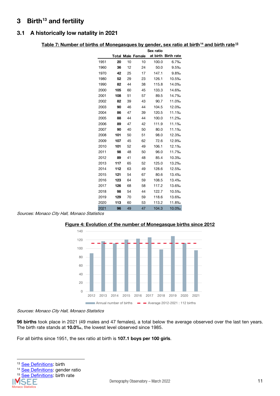# <span id="page-10-0"></span>3 Birth<sup>[13](#page-10-2)</sup> and fertility

## <span id="page-10-1"></span>3.1 A historically low natality in 2021

## Table 7: Number of births of Monegasques by gender, sex ratio at birth<sup>[14](#page-10-3)</sup> and birth rate<sup>[15](#page-10-4)</sup>

|      |              |    |                    | Sex ratio |                   |
|------|--------------|----|--------------------|-----------|-------------------|
|      | <b>Total</b> |    | <b>Male Female</b> | at birth  | <b>Birth rate</b> |
| 1951 | 20           | 10 | 10                 | 100.0     | 6.7%              |
| 1960 | 36           | 12 | 24                 | 50.0      | 9.5%              |
| 1970 | 42           | 25 | 17                 | 147.1     | 9.8%              |
| 1980 | 52           | 29 | 23                 | 126.1     | 10.5%             |
| 1990 | 82           | 44 | 38                 | 115.8     | 14.0‰             |
| 2000 | 105          | 60 | 45                 | 133.3     | 14.6‰             |
| 2001 | 108          | 51 | 57                 | 89.5      | 14.7%             |
| 2002 | 82           | 39 | 43                 | 90.7      | 11.0‰             |
| 2003 | 90           | 46 | 44                 | 104.5     | 12.0‰             |
| 2004 | 86           | 47 | 39                 | 120.5     | 11.1%             |
| 2005 | 88           | 44 | 44                 | 100.0     | 11.2%             |
| 2006 | 89           | 47 | 42                 | 111.9     | 11.1%             |
| 2007 | 90           | 40 | 50                 | 80.0      | 11.1%             |
| 2008 | 101          | 50 | 51                 | 98.0      | 12.3‰             |
| 2009 | 107          | 45 | 62                 | 72.6      | 12.9%             |
| 2010 | 101          | 52 | 49                 | 106.1     | 12.1%             |
| 2011 | 98           | 48 | 50                 | 96.0      | 11.7%             |
| 2012 | 89           | 41 | 48                 | 85.4      | 10.3%             |
| 2013 | 117          | 65 | 52                 | 125.0     | 13.2%             |
| 2014 | 112          | 63 | 49                 | 128.6     | 12.5%             |
| 2015 | 121          | 54 | 67                 | 80.6      | 13.4%             |
| 2016 | 123          | 64 | 59                 | 108.5     | 13.4%             |
| 2017 | 126          | 68 | 58                 | 117.2     | 13.6%             |
| 2018 | 98           | 54 | 44                 | 122.7     | 10.5%             |
| 2019 | 129          | 70 | 59                 | 118.6     | 13.6%             |
| 2020 | 113          | 60 | 53                 | 113.2     | 11.8%             |
| 2021 | 96           | 49 | 47                 | 104.3     | 10.0%             |

Sources: Monaco City Hall, Monaco Statistics



#### Figure 4: Evolution of the number of Monegasque births since 2012

Sources: Monaco City Hall, Monaco Statistics

96 births took place in 2021 (49 males and 47 females), a total below the average observed over the last ten years. The birth rate stands at 10.0‰, the lowest level observed since 1985.

For all births since 1951, the sex ratio at birth is 107.1 boys per 100 girls.

<span id="page-10-2"></span><sup>&</sup>lt;sup>13</sup> [See Definitions:](#page-29-0) birth

<span id="page-10-3"></span><sup>&</sup>lt;sup>14</sup> [See Definitions:](#page-29-0) gender ratio

**iee Definitions:** birth rate

<span id="page-10-4"></span>aco Statistics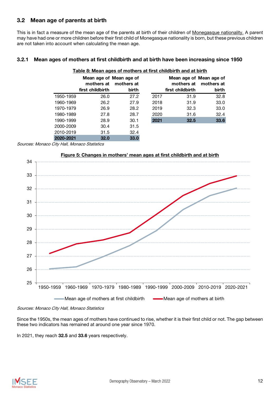## <span id="page-11-0"></span>3.2 Mean age of parents at birth

This is in fact a measure of the mean age of the parents at birth of their children of Monegasque nationality. A parent may have had one or more children before their first child of Monegasque nationality is born, but these previous children are not taken into account when calculating the mean age.

## <span id="page-11-1"></span>3.2.1 Mean ages of mothers at first childbirth and at birth have been increasing since 1950

|           | mothers at<br>first childbirth | Mean age of Mean age of<br>mothers at<br>birth |      | Mean age of Mean age of<br>first childbirth | mothers at mothers at<br>birth |
|-----------|--------------------------------|------------------------------------------------|------|---------------------------------------------|--------------------------------|
| 1950-1959 | 26.0                           | 27.2                                           | 2017 | 31.9                                        | 32.8                           |
| 1960-1969 | 26.2                           | 27.9                                           | 2018 | 31.9                                        | 33.0                           |
| 1970-1979 | 26.9                           | 28.2                                           | 2019 | 32.3                                        | 33.0                           |
| 1980-1989 | 27.8                           | 28.7                                           | 2020 | 31.6                                        | 32.4                           |
| 1990-1999 | 28.9                           | 30.1                                           | 2021 | 32.5                                        | 33.6                           |
| 2000-2009 | 30.4                           | 31.5                                           |      |                                             |                                |
| 2010-2019 | 31.5                           | 32.4                                           |      |                                             |                                |
| 2020-2021 | 32.0                           | 33.0                                           |      |                                             |                                |

Table 8: Mean ages of mothers at first childbirth and at birth

Sources: Monaco City Hall, Monaco Statistics



#### Figure 5: Changes in mothers' mean ages at first childbirth and at birth

Sources: Monaco City Hall, Monaco Statistics

Since the 1950s, the mean ages of mothers have continued to rise, whether it is their first child or not. The gap between these two indicators has remained at around one year since 1970.

In 2021, they reach 32.5 and 33.6 years respectively.

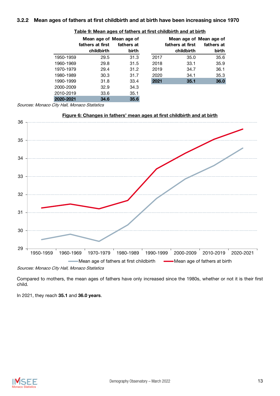## <span id="page-12-0"></span>3.2.2 Mean ages of fathers at first childbirth and at birth have been increasing since 1970

|           | fathers at first<br>childbirth | Mean age of Mean age of<br>fathers at<br>birth |      | Mean age of Mean age of<br>fathers at first<br>childbirth |
|-----------|--------------------------------|------------------------------------------------|------|-----------------------------------------------------------|
| 1950-1959 | 29.5                           | 31.3                                           | 2017 | 35.0                                                      |
| 1960-1969 | 29.8                           | 31.5                                           | 2018 | 33.1                                                      |
| 1970-1979 | 29.4                           | 31.2                                           | 2019 | 34.7                                                      |
| 1980-1989 | 30.3                           | 31.7                                           | 2020 | 34.1                                                      |
| 1990-1999 | 31.8                           | 33.4                                           | 2021 | 35.1                                                      |
| 2000-2009 | 32.9                           | 34.3                                           |      |                                                           |
| 2010-2019 | 33.6                           | 35.1                                           |      |                                                           |
| 2020-2021 | 34.6                           | 35.6                                           |      |                                                           |

#### Table 9: Mean ages of fathers at first childbirth and at birth

Sources: Monaco City Hall, Monaco Statistics



Sources: Monaco City Hall, Monaco Statistics

Compared to mothers, the mean ages of fathers have only increased since the 1980s, whether or not it is their first child.

In 2021, they reach 35.1 and 36.0 years.

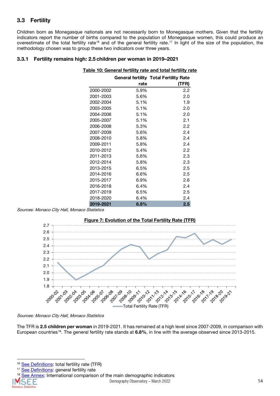## <span id="page-13-0"></span>3.3 Fertility

Children born as Monegasque nationals are not necessarily born to Monegasque mothers. Given that the fertility indicators report the number of births compared to the population of Monegasque women, this could produce an overestimate of the total fertility rate<sup>[16](#page-13-2)</sup> and of the general fertility rate.<sup>[17](#page-13-3)</sup> In light of the size of the population, the methodology chosen was to group these two indicators over three years.

## <span id="page-13-1"></span>3.3.1 Fertility remains high: 2.5 children per woman in 2019–2021

| <u>able 10: General fertility rate and total fertility rat</u> |      |                                               |  |  |  |  |
|----------------------------------------------------------------|------|-----------------------------------------------|--|--|--|--|
|                                                                |      | <b>General fertility Total Fertility Rate</b> |  |  |  |  |
|                                                                | rate | (TFR)                                         |  |  |  |  |
| 2000-2002                                                      | 5.9% | $2.2\,$                                       |  |  |  |  |
| 2001-2003                                                      | 5.6% | 2.0                                           |  |  |  |  |
| 2002-2004                                                      | 5.1% | 1.9                                           |  |  |  |  |
| 2003-2005                                                      | 5.1% | 2.0                                           |  |  |  |  |
| 2004-2006                                                      | 5.1% | 2.0                                           |  |  |  |  |
| 2005-2007                                                      | 5.1% | 2.1                                           |  |  |  |  |
| 2006-2008                                                      | 5.3% | 2.2                                           |  |  |  |  |
| 2007-2009                                                      | 5.6% | 2.4                                           |  |  |  |  |
| 2008-2010                                                      | 5.8% | 2.4                                           |  |  |  |  |
| 2009-2011                                                      | 5.8% | 2.4                                           |  |  |  |  |
| 2010-2012                                                      | 5.4% | 2.2                                           |  |  |  |  |
| 2011-2013                                                      | 5.6% | 2.3                                           |  |  |  |  |
| 2012-2014                                                      | 5.8% | 2.3                                           |  |  |  |  |
| 2013-2015                                                      | 6.5% | 2.5                                           |  |  |  |  |
| 2014-2016                                                      | 6.6% | 2.5                                           |  |  |  |  |
| 2015-2017                                                      | 6.9% | 2.6                                           |  |  |  |  |
| 2016-2018                                                      | 6.4% | 2.4                                           |  |  |  |  |
| 2017-2019                                                      | 6.5% | 2.5                                           |  |  |  |  |
| 2018-2020                                                      | 6.4% | 2.4                                           |  |  |  |  |
| 2019-2021                                                      | 6.8% | 2.5                                           |  |  |  |  |

## Table 10: General fertility rate and total fertility rate

Sources: Monaco City Hall, Monaco Statistics



Sources: Monaco City Hall, Monaco Statistics

The TFR is 2.5 children per woman in 2019-2021. It has remained at a high level since 2007-2009, in comparison with European countries<sup>[18](#page-13-4)</sup>. The general fertility rate stands at 6.8%, in line with the average observed since 2013-2015.

Demography Observatory – March 2022 14

<sup>&</sup>lt;sup>16</sup> [See Definitions:](#page-29-0) total fertility rate (TFR)

<span id="page-13-3"></span><span id="page-13-2"></span><sup>&</sup>lt;sup>17</sup> [See Definitions:](#page-29-0) general fertility rate

<span id="page-13-4"></span>[See Annex:](#page-28-0) International comparison of the main demographic indicators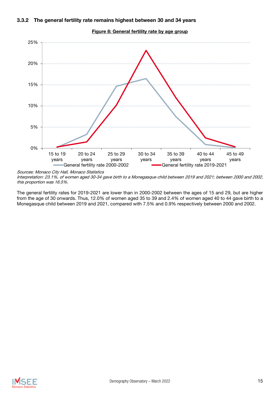<span id="page-14-0"></span>



Interpretation: 23.1%, of women aged 30-34 gave birth to a Monegasque child between 2019 and 2021; between 2000 and 2002, this proportion was 16.5%.

The general fertility rates for 2019-2021 are lower than in 2000-2002 between the ages of 15 and 29, but are higher from the age of 30 onwards. Thus, 12.0% of women aged 35 to 39 and 2.4% of women aged 40 to 44 gave birth to a Monegasque child between 2019 and 2021, compared with 7.5% and 0.9% respectively between 2000 and 2002.



Sources: Monaco City Hall, Monaco Statistics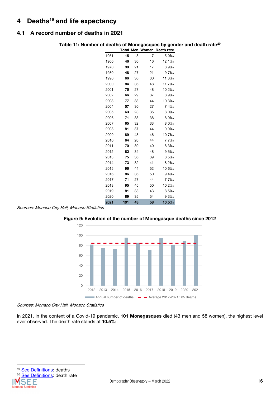# <span id="page-15-0"></span>4 Deaths<sup>[19](#page-15-2)</sup> and life expectancy

## <span id="page-15-1"></span>4.1 A record number of deaths in 2021

#### Table 11: Number of deaths of Monegasques by gender and death rate<sup>[20](#page-15-3)</sup>

|      | Total | Men | Women | Death rate |
|------|-------|-----|-------|------------|
| 1951 | 15    | 8   | 7     | 5.0‰       |
| 1960 | 46    | 30  | 16    | 12.1‰      |
| 1970 | 38    | 21  | 17    | 8.9‰       |
| 1980 | 48    | 27  | 21    | $9.7\%$    |
| 1990 | 66    | 36  | 30    | 11.3%      |
| 2000 | 84    | 36  | 48    | 11.7%      |
| 2001 | 75    | 27  | 48    | 10.2%      |
| 2002 | 66    | 29  | 37    | 8.9‰       |
| 2003 | 77    | 33  | 44    | 10.3%      |
| 2004 | 57    | 30  | 27    | 7.4‰       |
| 2005 | 63    | 28  | 35    | 8.0%       |
| 2006 | 71    | 33  | 38    | 8.9‰       |
| 2007 | 65    | 32  | 33    | 8.0%       |
| 2008 | 81    | 37  | 44    | 9.9%       |
| 2009 | 89    | 43  | 46    | 10.7%      |
| 2010 | 64    | 20  | 44    | 7.7‰       |
| 2011 | 70    | 30  | 40    | 8.3%       |
| 2012 | 82    | 34  | 48    | 9.5%       |
| 2013 | 75    | 36  | 39    | 8.5%       |
| 2014 | 73    | 32  | 41    | 8.2%       |
| 2015 | 96    | 44  | 52    | 10.6%      |
| 2016 | 86    | 36  | 50    | $9.4\%$    |
| 2017 | 71    | 27  | 44    | 7.7‰       |
| 2018 | 95    | 45  | 50    | 10.2%      |
| 2019 | 81    | 38  | 43    | 8.5%       |
| 2020 | 89    | 35  | 54    | 9.3%       |
| 2021 | 101   | 43  | 58    | 10.5%      |

Sources: Monaco City Hall, Monaco Statistics



#### Figure 9: Evolution of the number of Monegasque deaths since 2012

Sources: Monaco City Hall, Monaco Statistics

In 2021, in the context of a Covid-19 pandemic, 101 Monegasques died (43 men and 58 women), the highest level ever observed. The death rate stands at 10.5‰.

<span id="page-15-3"></span><span id="page-15-2"></span>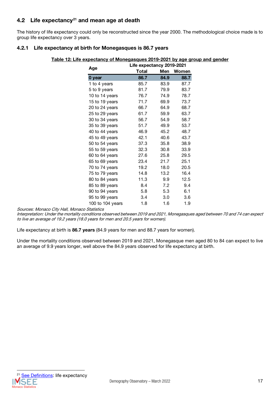## <span id="page-16-0"></span>4.2 Life expectancy<sup>[21](#page-16-2)</sup> and mean age at death

The history of life expectancy could only be reconstructed since the year 2000. The methodological choice made is to group life expectancy over 3 years.

## <span id="page-16-1"></span>4.2.1 Life expectancy at birth for Monegasques is 86.7 years

| Age              | Life expectancy 2019-2021 |      |       |
|------------------|---------------------------|------|-------|
|                  | Total                     | Men  | Women |
| 0 year           | 86.7                      | 84.9 | 88.7  |
| 1 to 4 years     | 85.7                      | 83.9 | 87.7  |
| 5 to 9 years     | 81.7                      | 79.9 | 83.7  |
| 10 to 14 years   | 76.7                      | 74.9 | 78.7  |
| 15 to 19 years   | 71.7                      | 69.9 | 73.7  |
| 20 to 24 years   | 66.7                      | 64.9 | 68.7  |
| 25 to 29 years   | 61.7                      | 59.9 | 63.7  |
| 30 to 34 years   | 56.7                      | 54.9 | 58.7  |
| 35 to 39 years   | 51.7                      | 49.9 | 53.7  |
| 40 to 44 years   | 46.9                      | 45.2 | 48.7  |
| 45 to 49 years   | 42.1                      | 40.6 | 43.7  |
| 50 to 54 years   | 37.3                      | 35.8 | 38.9  |
| 55 to 59 years   | 32.3                      | 30.8 | 33.9  |
| 60 to 64 years   | 27.6                      | 25.8 | 29.5  |
| 65 to 69 years   | 23.4                      | 21.7 | 25.1  |
| 70 to 74 years   | 19.2                      | 18.0 | 20.5  |
| 75 to 79 years   | 14.8                      | 13.2 | 16.4  |
| 80 to 84 years   | 11.3                      | 9.9  | 12.5  |
| 85 to 89 years   | 8.4                       | 7.2  | 9.4   |
| 90 to 94 years   | 5.8                       | 5.3  | 6.1   |
| 95 to 99 years   | 3.4                       | 3.0  | 3.6   |
| 100 to 104 years | 1.8                       | 1.6  | 1.9   |

## Table 12: Life expectancy of Monegasques 2019-2021 by age group and gender

Sources: Monaco City Hall, Monaco Statistics

Interpretation: Under the mortality conditions observed between 2019 and 2021, Monegasques aged between 70 and 74 can expect to live an average of 19.2 years (18.0 years for men and 20.5 years for women).

Life expectancy at birth is 86.7 years (84.9 years for men and 88.7 years for women).

Under the mortality conditions observed between 2019 and 2021, Monegasque men aged 80 to 84 can expect to live an average of 9.9 years longer, well above the 84.9 years observed for life expectancy at birth.

<span id="page-16-2"></span>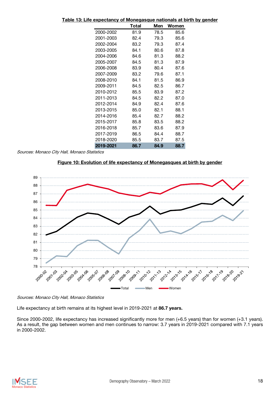|           | Total | Men  | Women |
|-----------|-------|------|-------|
| 2000-2002 | 81.9  | 78.5 | 85.6  |
| 2001-2003 | 82.4  | 79.3 | 85.6  |
| 2002-2004 | 83.2  | 79.3 | 87.4  |
| 2003-2005 | 84.1  | 80.6 | 87.8  |
| 2004-2006 | 84.6  | 81.3 | 88.2  |
| 2005-2007 | 84.5  | 81.3 | 87.9  |
| 2006-2008 | 83.9  | 80.4 | 87.6  |
| 2007-2009 | 83.2  | 79.6 | 87.1  |
| 2008-2010 | 84.1  | 81.5 | 86.9  |
| 2009-2011 | 84.5  | 82.5 | 86.7  |
| 2010-2012 | 85.5  | 83.9 | 87.2  |
| 2011-2013 | 84.5  | 82.2 | 87.0  |
| 2012-2014 | 84.9  | 82.4 | 87.6  |
| 2013-2015 | 85.0  | 82.1 | 88.1  |
| 2014-2016 | 85.4  | 82.7 | 88.2  |
| 2015-2017 | 85.8  | 83.5 | 88.2  |
| 2016-2018 | 85.7  | 83.6 | 87.9  |
| 2017-2019 | 86.5  | 84.4 | 88.7  |
| 2018-2020 | 85.5  | 83.7 | 87.5  |
| 2019-2021 | 86.7  | 84.9 | 88.7  |

Table 13: Life expectancy of Monegasque nationals at birth by gender

Sources: Monaco City Hall, Monaco Statistics





Sources: Monaco City Hall, Monaco Statistics

Life expectancy at birth remains at its highest level in 2019-2021 at 86.7 years.

Since 2000-2002, life expectancy has increased significantly more for men (+6.5 years) than for women (+3.1 years). As a result, the gap between women and men continues to narrow: 3.7 years in 2019-2021 compared with 7.1 years in 2000-2002.

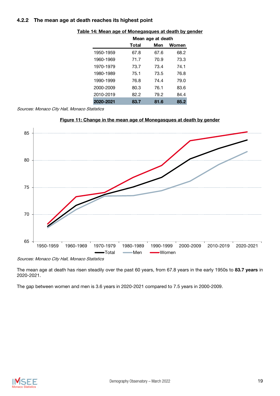## <span id="page-18-0"></span>4.2.2 The mean age at death reaches its highest point

|           | Mean age at death |      |       |  |  |  |
|-----------|-------------------|------|-------|--|--|--|
|           | Total             | Men  | Women |  |  |  |
| 1950-1959 | 67.8              | 67.6 | 68.2  |  |  |  |
| 1960-1969 | 71.7              | 70.9 | 73.3  |  |  |  |
| 1970-1979 | 73.7              | 73.4 | 74.1  |  |  |  |
| 1980-1989 | 75.1              | 73.5 | 76.8  |  |  |  |
| 1990-1999 | 76.8              | 74 4 | 79.0  |  |  |  |
| 2000-2009 | 80.3              | 76.1 | 83.6  |  |  |  |
| 2010-2019 | 82.2              | 79.2 | 84.4  |  |  |  |
| 2020-2021 | 83.7              | 81.6 | 85.2  |  |  |  |

## Table 14: Mean age of Monegasques at death by gender

Sources: Monaco City Hall, Monaco Statistics





Sources: Monaco City Hall, Monaco Statistics

The mean age at death has risen steadily over the past 60 years, from 67.8 years in the early 1950s to 83.7 years in 2020-2021.

The gap between women and men is 3.6 years in 2020-2021 compared to 7.5 years in 2000-2009.

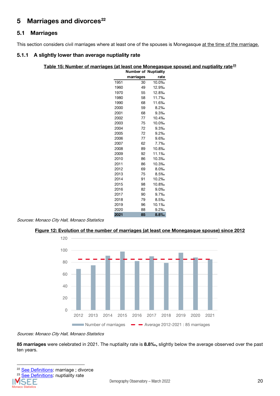# <span id="page-19-0"></span>5 Marriages and divorces $^{22}$  $^{22}$  $^{22}$

## <span id="page-19-1"></span>5.1 Marriages

<span id="page-19-2"></span>This section considers civil marriages where at least one of the spouses is Monegasque at the time of the marriage.

## 5.1.1 A slightly lower than average nuptiality rate

## Table 15: Number of marriages (at least one Monegasque spouse) and nuptiality rate<sup>[23](#page-19-4)</sup>

|      | Number of | <b>Nuptiality</b> |
|------|-----------|-------------------|
|      | marriages | rate              |
| 1951 | 30        | 10.0‰             |
| 1960 | 49        | 12.9‰             |
| 1970 | 55        | 12.8‰             |
| 1980 | 58        | 11.7%             |
| 1990 | 68        | 11.6‰             |
| 2000 | 59        | 8.2%              |
| 2001 | 68        | 9.3%              |
| 2002 | 77        | 10.4%             |
| 2003 | 75        | 10.0‰             |
| 2004 | 72        | $9.3\%$           |
| 2005 | 72        | 9.2%              |
| 2006 | 77        | $9.6\%$           |
| 2007 | 62        | 7.7%              |
| 2008 | 89        | 10.8‰             |
| 2009 | 92        | 11.1‰             |
| 2010 | 86        | 10.3‰             |
| 2011 | 86        | 10.3‰             |
| 2012 | 69        | 8.0%              |
| 2013 | 75        | 8.5%              |
| 2014 | 91        | 10.2%             |
| 2015 | 98        | 10.8%             |
| 2016 | 82        | $9.0\%$           |
| 2017 | 90        | 9.7‰              |
| 2018 | 79        | 8.5%              |
| 2019 | 96        | 10.1%             |
| 2020 | 88        | 9.2‰              |
| 2021 | 85        | 8.8%              |

#### Sources: Monaco City Hall, Monaco Statistics

#### Figure 12: Evolution of the number of marriages (at least one Monegasque spouse) since 2012



Sources: Monaco City Hall, Monaco Statistics

85 marriages were celebrated in 2021. The nuptiality rate is 8.8‰, slightly below the average observed over the past ten years.

- <span id="page-19-3"></span>[See Definitions:](#page-29-0) marriage; divorce
- ee Definitions: nuptiality rate

```
Statistics
```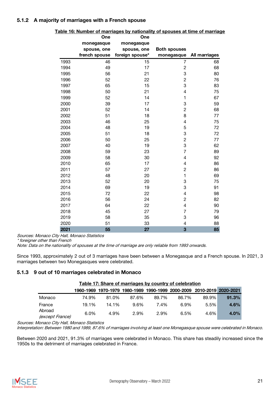## <span id="page-20-0"></span>5.1.2 A majority of marriages with a French spouse

|      | One           | One             |                          |               |
|------|---------------|-----------------|--------------------------|---------------|
|      | monegasque    | monegasque      |                          |               |
|      | spouse, one   | spouse, one     | <b>Both spouses</b>      |               |
|      | french spouse | foreign spouse* | monegasque               | All marriages |
| 1993 | 46            | 15              | 7                        | 68            |
| 1994 | 49            | 17              | $\overline{c}$           | 68            |
| 1995 | 56            | 21              | 3                        | 80            |
| 1996 | 52            | 22              | $\overline{c}$           | 76            |
| 1997 | 65            | 15              | 3                        | 83            |
| 1998 | 50            | 21              | $\overline{\mathcal{L}}$ | 75            |
| 1999 | 52            | 14              | 1                        | 67            |
| 2000 | 39            | 17              | 3                        | 59            |
| 2001 | 52            | 14              | $\overline{c}$           | 68            |
| 2002 | 51            | 18              | 8                        | 77            |
| 2003 | 46            | 25              | 4                        | 75            |
| 2004 | 48            | 19              | 5                        | 72            |
| 2005 | 51            | 18              | 3                        | 72            |
| 2006 | 50            | 25              | $\overline{c}$           | 77            |
| 2007 | 40            | 19              | 3                        | 62            |
| 2008 | 59            | 23              | $\overline{7}$           | 89            |
| 2009 | 58            | 30              | 4                        | 92            |
| 2010 | 65            | 17              | 4                        | 86            |
| 2011 | 57            | 27              | $\overline{c}$           | 86            |
| 2012 | 48            | 20              | $\mathbf{1}$             | 69            |
| 2013 | 52            | 20              | 3                        | 75            |
| 2014 | 69            | 19              | 3                        | 91            |
| 2015 | 72            | 22              | $\overline{4}$           | 98            |
| 2016 | 56            | 24              | $\overline{c}$           | 82            |
| 2017 | 64            | 22              | 4                        | 90            |
| 2018 | 45            | 27              | $\overline{7}$           | 79            |
| 2019 | 58            | 35              | 3                        | 96            |
| 2020 | 51            | 33              | 4                        | 88            |
| 2021 | 55            | 27              | 3                        | 85            |

Table 16: Number of marriages by nationality of spouses at time of marriage

Sources: Monaco City Hall, Monaco Statistics

\* foreigner other than French

Note: Data on the nationality of spouses at the time of marriage are only reliable from 1993 onwards.

Since 1993, approximately 2 out of 3 marriages have been between a Monegasque and a French spouse. In 2021, 3 marriages between two Monegasques were celebrated.

#### <span id="page-20-1"></span>5.1.3 9 out of 10 marriages celebrated in Monaco

|                           | Table 17: Share of marriages by country of celebration |       |       |       |                                                                       |       |         |  |
|---------------------------|--------------------------------------------------------|-------|-------|-------|-----------------------------------------------------------------------|-------|---------|--|
|                           |                                                        |       |       |       | 1960-1969 1970-1979 1980-1989 1990-1999 2000-2009 2010-2019 2020-2021 |       |         |  |
| Monaco                    | 74.9%                                                  | 81.0% | 87.6% | 89.7% | 86.7%                                                                 | 89.9% | 91.3%   |  |
| France                    | 19.1%                                                  | 14.1% | 9.6%  | 7.4%  | 6.9%                                                                  | 5.5%  | 4.6%    |  |
| Abroad<br>(except France) | 6.0%                                                   | 4.9%  | 2.9%  | 2.9%  | 6.5%                                                                  | 4.6%  | $4.0\%$ |  |

Sources: Monaco City Hall, Monaco Statistics

Interpretation: Between 1980 and 1989, 87.6% of marriages involving at least one Monegasque spouse were celebrated in Monaco.

Between 2020 and 2021, 91.3% of marriages were celebrated in Monaco. This share has steadily increased since the 1950s to the detriment of marriages celebrated in France.

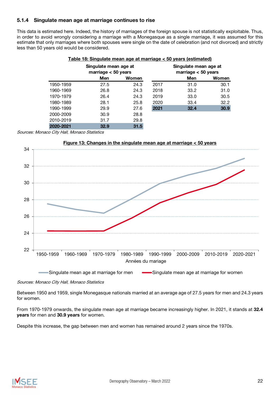## <span id="page-21-0"></span>5.1.4 Singulate mean age at marriage continues to rise

This data is estimated here. Indeed, the history of marriages of the foreign spouse is not statistically exploitable. Thus, in order to avoid wrongly considering a marriage with a Monegasque as a single marriage, it was assumed for this estimate that only marriages where both spouses were single on the date of celebration (and not divorced) and strictly less than 50 years old would be considered.

|           | Singulate mean age at<br>marriage $< 50$ years |       |      | Singulate mean age at<br>marriage $< 50$ years |       |
|-----------|------------------------------------------------|-------|------|------------------------------------------------|-------|
|           | Men                                            | Women |      | Men                                            | Women |
| 1950-1959 | 27.5                                           | 24.3  | 2017 | 31.0                                           | 30.1  |
| 1960-1969 | 26.8                                           | 24.3  | 2018 | 33.2                                           | 31.0  |
| 1970-1979 | 26.4                                           | 24.3  | 2019 | 33.0                                           | 30.5  |
| 1980-1989 | 28.1                                           | 25.8  | 2020 | 33.4                                           | 32.2  |
| 1990-1999 | 29.9                                           | 27.6  | 2021 | 32.4                                           | 30.9  |
| 2000-2009 | 30.9                                           | 28.8  |      |                                                |       |
| 2010-2019 | 31.7                                           | 29.8  |      |                                                |       |
| 2020-2021 | 32.9                                           | 31.5  |      |                                                |       |

#### Table 18: Singulate mean age at marriage < 50 years (estimated)

Sources: Monaco City Hall, Monaco Statistics





Sources: Monaco City Hall, Monaco Statistics

Between 1950 and 1959, single Monegasque nationals married at an average age of 27.5 years for men and 24.3 years for women.

From 1970-1979 onwards, the singulate mean age at marriage became increasingly higher. In 2021, it stands at 32.4 years for men and 30.9 years for women.

Despite this increase, the gap between men and women has remained around 2 years since the 1970s.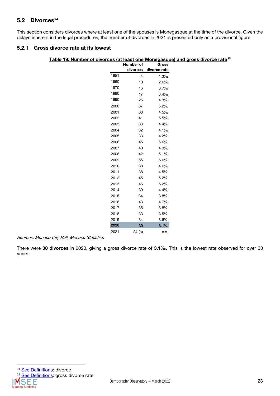## <span id="page-22-0"></span>5.2 Divorces<sup>[24](#page-22-2)</sup>

This section considers divorces where at least one of the spouses is Monegasque at the time of the divorce. Given the delays inherent in the legal procedures, the number of divorces in 2021 is presented only as a provisional figure.

## <span id="page-22-1"></span>5.2.1 Gross divorce rate at its lowest

|      | Number of | Gross        |
|------|-----------|--------------|
|      | divorces  | divorce rate |
| 1951 | 4         | 1.3‰         |
| 1960 | 10        | 2.6‰         |
| 1970 | 16        | 3.7%         |
| 1980 | 17        | 3.4%         |
| 1990 | 25        | 4.3%         |
| 2000 | 37        | 5.2%         |
| 2001 | 33        | 4.5%         |
| 2002 | 41        | 5.5%         |
| 2003 | 33        | 4.4%         |
| 2004 | 32        | 4.1%         |
| 2005 | 33        | 4.2%         |
| 2006 | 45        | 5.6%         |
| 2007 | 40        | 4.9‰         |
| 2008 | 42        | 5.1%         |
| 2009 | 55        | 6.6%         |
| 2010 | 38        | 4.6‰         |
| 2011 | 38        | 4.5%         |
| 2012 | 45        | 5.2%         |
| 2013 | 46        | 5.2%         |
| 2014 | 39        | 4.4‰         |
| 2015 | 34        | 3.8‰         |
| 2016 | 43        | 4.7%         |
| 2017 | 35        | 3.8‰         |
| 2018 | 33        | 3.5%         |
| 2019 | 34        | 3.6%         |
| 2020 | 30        | 3.1%         |
| 2021 | 24 (p)    | n.s.         |

## Table 19: Number of divorces (at least one Monegasque) and gross divorce rate<sup>[25](#page-22-3)</sup>

Sources: Monaco City Hall, Monaco Statistics

<span id="page-22-3"></span><span id="page-22-2"></span>There were 30 divorces in 2020, giving a gross divorce rate of 3.1‰. This is the lowest rate observed for over 30 years.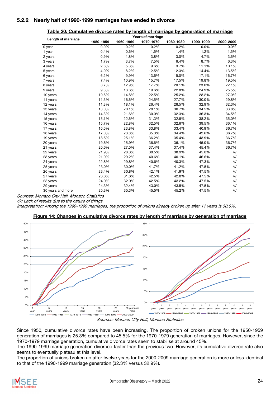## <span id="page-23-0"></span>5.2.2 Nearly half of 1990-1999 marriages have ended in divorce

|                    |           |           | <b>Years of marriage</b> |           |           |                         |
|--------------------|-----------|-----------|--------------------------|-----------|-----------|-------------------------|
| Length of marriage | 1950-1959 | 1960-1969 | 1970-1979                | 1980-1989 | 1990-1999 | 2000-2009               |
| 0 year             | 0.0%      | 0.2%      | 0.2%                     | 0.2%      | 0.0%      | 0.0%                    |
| 1 year             | 0.4%      | 0.6%      | 1.5%                     | 1.4%      | 1.2%      | 1.5%                    |
| 2 years            | 0.9%      | 1.8%      | 3.8%                     | 3.0%      | 4.7%      | 3.6%                    |
| 3 years            | 1.7%      | 3.7%      | 7.5%                     | 6.4%      | 8.7%      | 6.3%                    |
| 4 years            | 2.6%      | 5.3%      | 9.6%                     | 9.7%      | 11.1%     | 10.1%                   |
| 5 years            | 4.0%      | 8.2%      | 12.5%                    | 12.3%     | 14.4%     | 13.5%                   |
| 6 years            | 6.2%      | 9.9%      | 13.6%                    | 15.0%     | 17.1%     | 16.7%                   |
| 7 years            | 7.4%      | 10.9%     | 15.7%                    | 17.5%     | 19.8%     | 19.5%                   |
| 8 years            | 8.7%      | 12.9%     | 17.7%                    | 20.1%     | 23.0%     | 22.1%                   |
| 9 years            | 9.8%      | 13.6%     | 19.6%                    | 22.8%     | 24.9%     | 25.5%                   |
| 10 years           | 10.6%     | 14.8%     | 22.5%                    | 25.2%     | 28.2%     | 27.0%                   |
| 11 years           | 11.3%     | 16.6%     | 24.5%                    | 27.7%     | 30.0%     | 29.8%                   |
| 12 years           | 11.3%     | 18.1%     | 26.4%                    | 28.5%     | 32.9%     | 32.3%                   |
| 13 years           | 13.0%     | 20.1%     | 28.1%                    | 30.7%     | 34.5%     | 33.8%                   |
| 14 years           | 14.3%     | 21.6%     | 30.0%                    | 32.3%     | 36.3%     | 34.5%                   |
| 15 years           | 15.1%     | 22.6%     | 31.3%                    | 32.6%     | 38.2%     | 35.0%                   |
| 16 years           | 15.7%     | 22.8%     | 32.5%                    | 32.6%     | 39.5%     | 36.1%                   |
| 17 years           | 16.6%     | 23.8%     | 33.8%                    | 33.4%     | 40.9%     | 36.7%                   |
| 18 years           | 17.0%     | 23.8%     | 35.3%                    | 34.4%     | 42.6%     | 36.7%                   |
| 19 years           | 18.5%     | 25.1%     | 36.2%                    | 35.4%     | 43.9%     | 36.7%                   |
| 20 years           | 19.6%     | 25.9%     | 36.6%                    | 36.1%     | 45.0%     | 36.7%                   |
| 21 years           | 20.6%     | 27.5%     | 37.4%                    | 37.4%     | 45.4%     | 36.7%                   |
| 22 years           | 21.9%     | 28.3%     | 38.5%                    | 38.9%     | 45.8%     | $^{\prime\prime\prime}$ |
| 23 years           | 21.9%     | 29.2%     | 40.6%                    | 40.1%     | 46.6%     | $^{\prime\prime\prime}$ |
| 24 years           | 22.8%     | 29.8%     | 40.6%                    | 40.3%     | 47.3%     | $^{\prime\prime\prime}$ |
| 25 years           | 23.0%     | 30.0%     | 41.7%                    | 41.2%     | 47.5%     | $^{\prime\prime\prime}$ |
| 26 years           | 23.4%     | 30.8%     | 42.1%                    | 41.9%     | 47.5%     | $^{\prime\prime\prime}$ |
| 27 years           | 23.6%     | 31.6%     | 42.5%                    | 42.8%     | 47.5%     | $^{\prime\prime\prime}$ |
| 28 years           | 24.0%     | 32.0%     | 42.5%                    | 43.2%     | 47.5%     | $^{\prime\prime\prime}$ |
| 29 years           | 24.3%     | 32.4%     | 43.0%                    | 43.5%     | 47.5%     | $^{\prime\prime\prime}$ |
| 30 years and more  | 25.3%     | 35.3%     | 45.5%                    | 45.2%     | 47.5%     | $^{\prime\prime\prime}$ |

Table 20: Cumulative divorce rates by length of marriage by generation of marriage

Sources: Monaco City Hall, Monaco Statistics

///: Lack of results due to the nature of things.

Interpretation: Among the 1990-1999 marriages, the proportion of unions already broken up after 11 years is 30.0%.

#### Figure 14: Changes in cumulative divorce rates by length of marriage by generation of marriage



Sources: Monaco City Hall, Monaco Statistics

Since 1950, cumulative divorce rates have been increasing. The proportion of broken unions for the 1950-1959 generation of marriages is 25.3% compared to 45.5% for the 1970-1979 generation of marriages. However, since the 1970-1979 marriage generation, cumulative divorce rates seem to stabilise at around 45%.

The 1990-1999 marriage generation divorced faster than the previous two. However, its cumulative divorce rate also seems to eventually plateau at this level.

The proportion of unions broken up after twelve years for the 2000-2009 marriage generation is more or less identical to that of the 1990-1999 marriage generation (32.3% versus 32.9%).

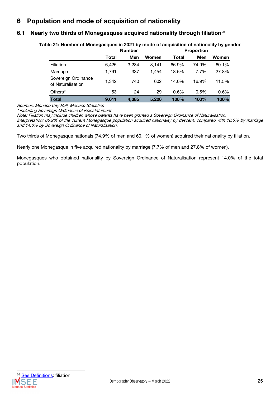## <span id="page-24-0"></span>6 Population and mode of acquisition of nationality

## <span id="page-24-1"></span>6.1 Nearly two thirds of Monegasques acquired nationality through filiation<sup>[26](#page-24-2)</sup>

|                                          |       | <b>Number</b> |       |       | <u>Jie z i. Number of Monegasques in zoz i by moue of acquisition of hationality by gen</u><br><b>Proportion</b> |       |  |  |
|------------------------------------------|-------|---------------|-------|-------|------------------------------------------------------------------------------------------------------------------|-------|--|--|
|                                          | Total | Men           | Women | Total | Men                                                                                                              | Women |  |  |
| Filiation                                | 6.425 | 3.284         | 3.141 | 66.9% | 74.9%                                                                                                            | 60.1% |  |  |
| Marriage                                 | 1.791 | 337           | 1.454 | 18.6% | 7.7%                                                                                                             | 27.8% |  |  |
| Sovereign Ordinance<br>of Naturalisation | 1,342 | 740           | 602   | 14.0% | 16.9%                                                                                                            | 11.5% |  |  |
| Others <sup>*</sup>                      | 53    | 24            | 29    | 0.6%  | 0.5%                                                                                                             | 0.6%  |  |  |
| <b>Total</b>                             | 9.611 | 4.385         | 5.226 | 100%  | 100%                                                                                                             | 100%  |  |  |

Table 21: Number of Monegasques in 2021 by mode of acquisition of nationality by gender

Sources: Monaco City Hall, Monaco Statistics

\* including Sovereign Ordinance of Reinstatement

Note: Filiation may include children whose parents have been granted a Sovereign Ordinance of Naturalisation.

Interpretation: 66.9% of the current Monegasque population acquired nationality by descent, compared with 18.6% by marriage and 14.0% by Sovereign Ordinance of Naturalisation.

Two thirds of Monegasque nationals (74.9% of men and 60.1% of women) acquired their nationality by filiation.

Nearly one Monegasque in five acquired nationality by marriage (7.7% of men and 27.8% of women).

Monegasques who obtained nationality by Sovereign Ordinance of Naturalisation represent 14.0% of the total population.

<span id="page-24-2"></span>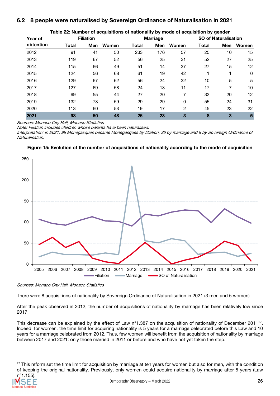## <span id="page-25-0"></span>6.2 8 people were naturalised by Sovereign Ordinance of Naturalisation in 2021

| Year of   | <b>Filiation</b> |     |       | <b>Marriage</b> |     |       | <b>SO of Naturalisation</b> |     |       |
|-----------|------------------|-----|-------|-----------------|-----|-------|-----------------------------|-----|-------|
| obtention | <b>Total</b>     | Men | Women | <b>Total</b>    | Men | Women | <b>Total</b>                | Men | Women |
| 2012      | 91               | 41  | 50    | 233             | 176 | 57    | 25                          | 10  | 15    |
| 2013      | 119              | 67  | 52    | 56              | 25  | 31    | 52                          | 27  | 25    |
| 2014      | 115              | 66  | 49    | 51              | 14  | 37    | 27                          | 15  | 12    |
| 2015      | 124              | 56  | 68    | 61              | 19  | 42    |                             |     | 0     |
| 2016      | 129              | 67  | 62    | 56              | 24  | 32    | 10                          | 5   | 5     |
| 2017      | 127              | 69  | 58    | 24              | 13  | 11    | 17                          | 7   | 10    |
| 2018      | 99               | 55  | 44    | 27              | 20  | 7     | 32                          | 20  | 12    |
| 2019      | 132              | 73  | 59    | 29              | 29  | 0     | 55                          | 24  | 31    |
| 2020      | 113              | 60  | 53    | 19              | 17  | 2     | 45                          | 23  | 22    |
| 2021      | 98               | 50  | 48    | 26              | 23  | 3     | 8                           | 3   | 5     |

## Table 22: Number of acquisitions of nationality by mode of acquisition by gender

Sources: Monaco City Hall, Monaco Statistics

Note: Filiation includes children whose parents have been naturalised.

Interpretation: In 2021, 98 Monegasques became Monegasques by filiation, 26 by marriage and 8 by Sovereign Ordinance of Naturalisation.





Sources: Monaco City Hall, Monaco Statistics

There were 8 acquisitions of nationality by Sovereign Ordinance of Naturalisation in 2021 (3 men and 5 women).

After the peak observed in 2012, the number of acquisitions of nationality by marriage has been relatively low since 2017.

This decrease can be explained by the effect of Law  $n^{\circ}1.387$  on the acquisition of nationality of December 2011<sup>27</sup>. Indeed, for women, the time limit for acquiring nationality is 5 years for a marriage celebrated before this Law and 10 years for a marriage celebrated from 2012. Thus, few women will benefit from the acquisition of nationality by marriage between 2017 and 2021: only those married in 2011 or before and who have not yet taken the step.

<span id="page-25-1"></span> $27$  This reform set the time limit for acquisition by marriage at ten years for women but also for men, with the condition of keeping the original nationality. Previously, only women could acquire nationality by marriage after 5 years (Law n°1.155).

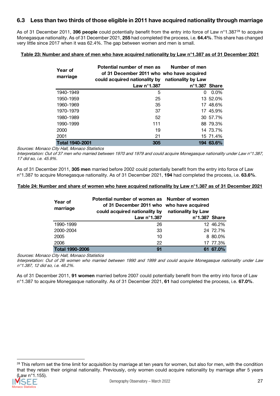## <span id="page-26-0"></span>6.3 Less than two thirds of those eligible in 2011 have acquired nationality through marriage

As of 31 December 2011, 396 people could potentially benefit from the entry into force of Law n°1.387<sup>[28](#page-26-1)</sup> to acquire Monegasque nationality. As of 31 December 2021, 255 had completed the process, i.e. 64.4%. This share has changed very little since 2017 when it was 62.4%. The gap between women and men is small.

## Table 23: Number and share of men who have acquired nationality by Law n°1.387 as of 31 December 2021

| Year of<br>marriage    | Potential number of men as<br>of 31 December 2011 who who have acquired<br>could acquired nationality by | Number of men<br>nationality by Law |           |
|------------------------|----------------------------------------------------------------------------------------------------------|-------------------------------------|-----------|
|                        | Law $n^{\circ}$ 1.387                                                                                    | $n^{\circ}$ 1.387 Share             |           |
| 1940-1949              | 5                                                                                                        | 0                                   | 0.0%      |
| 1950-1959              | 25                                                                                                       |                                     | 13 52.0%  |
| 1960-1969              | 35                                                                                                       |                                     | 17 48.6%  |
| 1970-1979              | 37                                                                                                       |                                     | 17 45.9%  |
| 1980-1989              | 52                                                                                                       |                                     | 30 57.7%  |
| 1990-1999              | 111                                                                                                      |                                     | 88 79.3%  |
| 2000                   | 19                                                                                                       |                                     | 14 73.7%  |
| 2001                   | 21                                                                                                       |                                     | 15 71.4%  |
| <b>Total 1940-2001</b> | 305                                                                                                      |                                     | 194 63.6% |

Sources: Monaco City Hall, Monaco Statistics

Interpretation: Out of 37 men who married between 1970 and 1979 and could acquire Monegasque nationality under Law n°1.387, 17 did so, i.e. 45.9%.

As of 31 December 2011, 305 men married before 2002 could potentially benefit from the entry into force of Law n°1.387 to acquire Monegasque nationality. As of 31 December 2021, 194 had completed the process, i.e. 63.6%.

#### Table 24: Number and share of women who have acquired nationality by Law n°1.387 as of 31 December 2021

| Year of<br>marriage    | Potential number of women as Number of women<br>of 31 December 2011 who who have acquired<br>could acquired nationality by | nationality by Law      |          |
|------------------------|----------------------------------------------------------------------------------------------------------------------------|-------------------------|----------|
|                        | Law $n^{\circ}$ 1.387                                                                                                      | $n^{\circ}$ 1.387 Share |          |
| 1990-1999              | 26                                                                                                                         |                         | 12 46.2% |
| 2000-2004              | 33                                                                                                                         |                         | 24 72.7% |
| 2005                   | 10                                                                                                                         |                         | 8 80.0%  |
| 2006                   | 22                                                                                                                         |                         | 17 77.3% |
| <b>Total 1990-2006</b> | 91                                                                                                                         |                         | 61 67.0% |

Sources: Monaco City Hall, Monaco Statistics

Interpretation: Out of 26 women who married between 1990 and 1999 and could acquire Monegasque nationality under Law <sup>n</sup>°1.387, 12 did so, i.e. 46.2%.

As of 31 December 2011, 91 women married before 2007 could potentially benefit from the entry into force of Law n°1.387 to acquire Monegasque nationality. As of 31 December 2021, 61 had completed the process, i.e. 67.0%.

<span id="page-26-1"></span><sup>&</sup>lt;sup>28</sup> This reform set the time limit for acquisition by marriage at ten years for women, but also for men, with the condition that they retain their original nationality. Previously, only women could acquire nationality by marriage after 5 years (Law n°1.155).

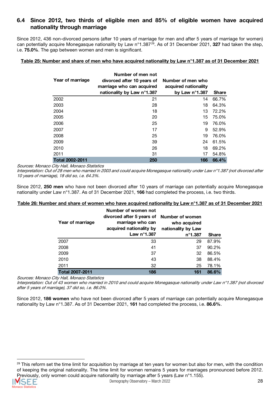## <span id="page-27-0"></span>6.4 Since 2012, two thirds of eligible men and 85% of eligible women have acquired nationality through marriage

Since 2012, 436 non-divorced persons (after 10 years of marriage for men and after 5 years of marriage for women) can potentially acquire Monegasque nationality by Law n°1.387<sup>[29](#page-27-1)</sup>. As of 31 December 2021, 327 had taken the step, i.e. **75.0%**. The gap between women and men is significant.

## Table 25: Number and share of men who have acquired nationality by Law n°1.387 as of 31 December 2021

| Year of marriage       | Number of men not<br>divorced after 10 years of<br>marriage who can acquired<br>nationality by Law n°1.387 | Number of men who<br>acquired nationality<br>by Law n°1.387 | <b>Share</b> |
|------------------------|------------------------------------------------------------------------------------------------------------|-------------------------------------------------------------|--------------|
| 2002                   | 21                                                                                                         | 14                                                          | 66.7%        |
| 2003                   | 28                                                                                                         | 18                                                          | 64.3%        |
| 2004                   | 18                                                                                                         | 13                                                          | 72.2%        |
| 2005                   | 20                                                                                                         | 15                                                          | 75.0%        |
| 2006                   | 25                                                                                                         | 19                                                          | 76.0%        |
| 2007                   | 17                                                                                                         | 9                                                           | 52.9%        |
| 2008                   | 25                                                                                                         | 19                                                          | 76.0%        |
| 2009                   | 39                                                                                                         | 24                                                          | 61.5%        |
| 2010                   | 26                                                                                                         | 18                                                          | 69.2%        |
| 2011                   | 31                                                                                                         | 17                                                          | 54.8%        |
| <b>Total 2002-2011</b> | 250                                                                                                        | 166                                                         | 66.4%        |

Sources: Monaco City Hall, Monaco Statistics

Interpretation: Out of 28 men who married in 2003 and could acquire Monegasque nationality under Law n°1.387 (not divorced after 10 years of marriage), 18 did so, i.e. 64.3%.

Since 2012, 250 men who have not been divorced after 10 years of marriage can potentially acquire Monegasque nationality under Law n°1.387. As of 31 December 2021, 166 had completed the process, i.e. two thirds.

## Table 26: Number and share of women who have acquired nationality by Law n°1.387 as of 31 December 2021

| Year of marriage       | Number of women not<br>divorced after 5 years of<br>marriage who can<br>acquired nationality by<br>Law $n^{\circ}$ 1.387 | <b>Number of women</b><br>who acquired<br>nationality by Law<br>$n^{\circ}$ 1.387 | <b>Share</b> |
|------------------------|--------------------------------------------------------------------------------------------------------------------------|-----------------------------------------------------------------------------------|--------------|
| 2007                   | 33                                                                                                                       | 29                                                                                | 87.9%        |
| 2008                   | 41                                                                                                                       | 37                                                                                | 90.2%        |
| 2009                   | 37                                                                                                                       | 32                                                                                | 86.5%        |
| 2010                   | 43                                                                                                                       | 38                                                                                | 88.4%        |
| 2011                   | 32                                                                                                                       | 25                                                                                | 78.1%        |
| <b>Total 2007-2011</b> | 186                                                                                                                      | 161                                                                               | 86.6%        |

Sources: Monaco City Hall, Monaco Statistics

Interpretation: Out of 43 women who married in 2010 and could acquire Monegasque nationality under Law n°1.387 (not divorced after 5 years of marriage), 37 did so, i.e. 86.0%.

Since 2012, 186 women who have not been divorced after 5 years of marriage can potentially acquire Monegasque nationality by Law n°1.387. As of 31 December 2021, 161 had completed the process, i.e. 86.6%.

<span id="page-27-1"></span><sup>&</sup>lt;sup>29</sup> This reform set the time limit for acquisition by marriage at ten years for women but also for men, with the condition of keeping the original nationality. The time limit for women remains 5 years for marriages pronounced before 2012. Previously, only women could acquire nationality by marriage after 5 years (Law n°1.155).

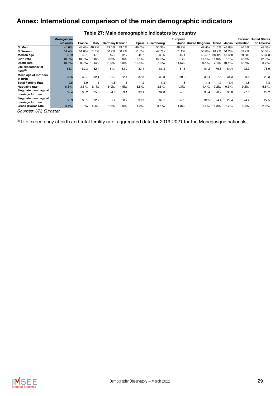# <span id="page-28-0"></span>Annex: International comparison of the main demographic indicators

|                                                                        | Monegasque |        |       |                  |       |       |            | European |                             |        |        |            | <b>Russian United States</b> |
|------------------------------------------------------------------------|------------|--------|-------|------------------|-------|-------|------------|----------|-----------------------------|--------|--------|------------|------------------------------|
|                                                                        | nationals  | France | Italv | Germany tzerland |       | Spain | Luxembourg |          | <b>Union United Kingdom</b> | China  | Japan  | Federation | of America                   |
| % Men                                                                  | 45.6%      | 48.4%  | 48.7% | 49.3%            | 49.6% | 49.0% | 50.3%      | 48.9%    | 49.4%                       | 51.3%  | 48.8%  | 46.3%      | 49.5%                        |
| % Women                                                                | 54.4%      | 51.6%  | 51.3% | 50.7%            | 50.4% | 51.0% | 49.7%      | 51.1%    | 50.6%                       | 48.7%  | 51.2%  | 53.7%      | 50.5%                        |
| Median age                                                             | 46.9       | 42.1   | 47.6  | 45.9             | 42.7  | 44.7  | 39.6       | 44.1     | 40.467                      | 38.422 | 48.358 | 39.586     | 38.308                       |
| <b>Birth rate</b>                                                      | 10.0%      | 10.9%  | 6.8%  | 9.3%             | 9.9%  | 7.1%  | 10.2%      | 9.1%     | 11.5%                       | 11.9‰  | 7.5%   | 12.8‰      | 12.0‰                        |
| Death rate                                                             | 10.5%      | 9.9%   | 12.6‰ | 11.9‰            | 8.8‰  | 10.4% | 7.3‰       | 11.6‰    | 9.4%                        | 7.1%   | 10.4‰  | 12.7%      | 8.7%                         |
| Life expectancy at<br>birth <sup>(1)</sup>                             | 86.7       | 82.3   | 82.4  | 81.1             | 83.2  | 82.4  | 81.8       | 81.3     | 81.2                        | 76.6   | 84.4   | 72.3       | 78.9                         |
| Mean age of mothers<br>at birth                                        | 33.6       | 30.7   | 32.1  | 31.2             | 32.1  | 32.3  | 32.3       | 30.9     | 30.4                        | 27.6   | 31.3   | 28.6       | 29.3                         |
| <b>Total Fertility Rate</b>                                            | 2.5        | 1.9    | 1.3   | 1.5              | 1.5   | 1.2   | 1.3        | 1.5      | 1.8                         | 1.7    | 1.4    | 1.8        | 1.8                          |
| <b>Nuptiality rate</b>                                                 | 8.8%       | 3.5%   | 3.1%  | 5.0%             | 4.5%  | 3.5%  | 3.5%       | 4.3%     | 4.4%                        | 7.2%   | 9.3%   | 9.2%       | 6.8%                         |
| Singulate mean age at<br>marriage for men                              | 32.4       | 35.2   | 35.5  | 34.0             | 33.1  | 36.1  | 34.8       | n.d.     | 33.4                        | 26.2   | 30.8   | 27.0       | 29.2                         |
| Singulate mean age at<br>marriage for men                              | 30.9       | 33.1   | 32.7  | 31.2             | 30.7  | 33.9  | 32.1       | n.d.     | 31.5                        | 24.4   | 29.4   | 24.4       | 27.5                         |
| Gross divorce rate<br>$\sim$ $\sim$ $\sim$ $\sim$ $\sim$ $\sim$ $\sim$ | 3.1%       | 1.9%   | 1.4%  | 1.8%             | 2.0%  | 1.9%  | 3.1%       | 1.8%     | 1.8%                        | .8%    | 1.7%   | 4.5‰       | 2.8%                         |

## Table 27: Main demographic indicators by country

Sources: UN, Eurostat

(1) Life expectancy at birth and total fertility rate: aggregated data for 2019-2021 for the Monegasque nationals

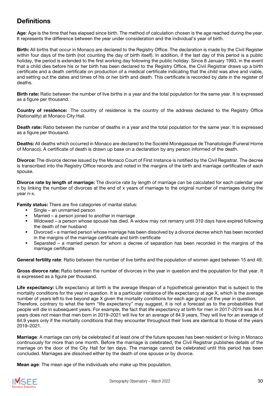# <span id="page-29-0"></span>**Definitions**

Age: Age is the time that has elapsed since birth. The method of calculation chosen is the age reached during the year. It represents the difference between the year under consideration and the individual's year of birth.

Birth: All births that occur in Monaco are declared to the Registry Office. The declaration is made by the Civil Register within four days of the birth (not counting the day of birth itself). In addition, if the last day of this period is a public holiday, the period is extended to the first working day following the public holiday. Since 8 January 1993, in the event that a child dies before his or her birth has been declared to the Registry Office, the Civil Registrar draws up a birth certificate and a death certificate on production of a medical certificate indicating that the child was alive and viable, and setting out the dates and times of his or her birth and death. This certificate is recorded by date in the register of deaths.

Birth rate: Ratio between the number of live births in a year and the total population for the same year. It is expressed as a figure per thousand.

Country of residence: The country of residence is the country of the address declared to the Registry Office (Nationality) at Monaco City Hall.

Death rate: Ratio between the number of deaths in a year and the total population for the same year. It is expressed as a figure per thousand.

Deaths: All deaths which occurred in Monaco are declared to the Société Monégasque de Thanatologie (Funeral Home of Monaco). A certificate of death is drawn up base on a declaration by any person informed of the death.

Divorce: The divorce decree issued by the Monaco Court of First Instance is notified by the Civil Registrar. The decree is transcribed into the Registry Office records and noted in the margins of the birth and marriage certificates of each spouse.

Divorce rate by length of marriage: The divorce rate by length of marriage can be calculated for each calendar year n by linking the number of divorces at the end of x years of marriage to the original number of marriages during the year n-x.

Family status: There are five categories of marital status:

- Single an unmarried person
- Married a person joined to another in marriage
- Widowed a person whose spouse has died. A widow may not remarry until 310 days have expired following the death of her husband
- Divorced a married person whose marriage has been dissolved by a divorce decree which has been recorded in the margins of the marriage certificate and birth certificate
- Separated a married person for whom a decree of separation has been recorded in the margins of the marriage certificate

General fertility rate: Ratio between the number of live births and the population of women aged between 15 and 49.

Gross divorce rate: Ratio between the number of divorces in the year in question and the population for that year. It is expressed as a figure per thousand.

Life expectancy: Life expectancy at birth is the average lifespan of a hypothetical generation that is subject to the mortality conditions for the year in question. It is a particular instance of life expectancy at age X, which is the average number of years left to live beyond age X given the mortality conditions for each age group of the year in question. Therefore, contrary to what the term "life expectancy" may suggest, it is not a forecast as to the probabilities that people will die in subsequent years. For example, the fact that life expectancy at birth for men in 2017–2019 was 84.4 years does not mean that men born in 2019–2021 will live for an average of 84.9 years. They will live for an average of 84.9 years only if the mortality conditions that they encounter throughout their lives are identical to those of the years 2019–2021.

Marriage: A marriage can only be celebrated if at least one of the future spouses has been resident or living in Monaco continuously for more than one month. Before the marriage is celebrated, the Civil Registrar publishes details of the marriage on the door of the City Hall for ten days. The marriage cannot be celebrated until this period has been concluded. Marriages are dissolved either by the death of one spouse or by divorce.

Mean age: The mean age of the individuals who make up this population.

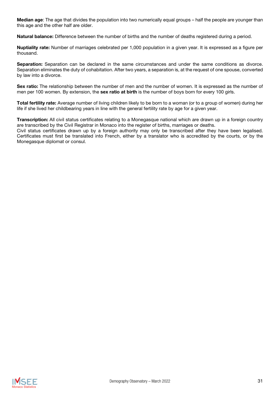Median age: The age that divides the population into two numerically equal groups – half the people are younger than this age and the other half are older.

Natural balance: Difference between the number of births and the number of deaths registered during a period.

Nuptiality rate: Number of marriages celebrated per 1,000 population in a given year. It is expressed as a figure per thousand.

Separation: Separation can be declared in the same circumstances and under the same conditions as divorce. Separation eliminates the duty of cohabitation. After two years, a separation is, at the request of one spouse, converted by law into a divorce.

Sex ratio: The relationship between the number of men and the number of women. It is expressed as the number of men per 100 women. By extension, the sex ratio at birth is the number of boys born for every 100 girls.

Total fertility rate: Average number of living children likely to be born to a woman (or to a group of women) during her life if she lived her childbearing years in line with the general fertility rate by age for a given year.

Transcription: All civil status certificates relating to a Monegasque national which are drawn up in a foreign country are transcribed by the Civil Registrar in Monaco into the register of births, marriages or deaths.

Civil status certificates drawn up by a foreign authority may only be transcribed after they have been legalised. Certificates must first be translated into French, either by a translator who is accredited by the courts, or by the Monegasque diplomat or consul.